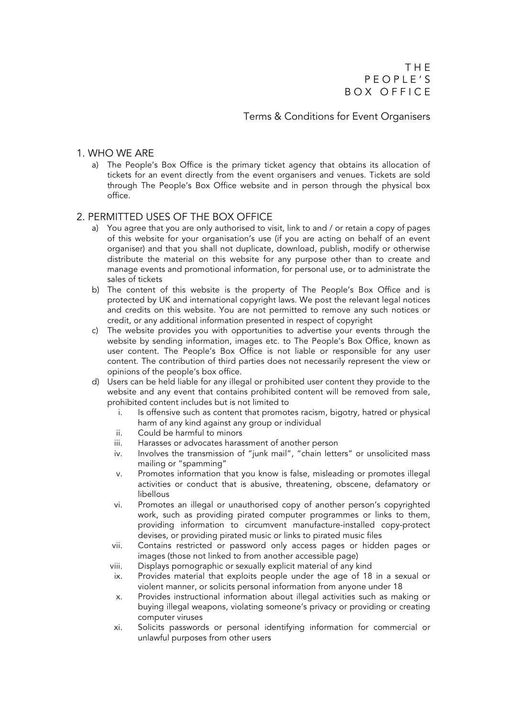Terms & Conditions for Event Organisers

#### 1. WHO WE ARE

a) The People's Box Office is the primary ticket agency that obtains its allocation of tickets for an event directly from the event organisers and venues. Tickets are sold through The People's Box Office website and in person through the physical box office.

## 2. PERMITTED USES OF THE BOX OFFICE

- a) You agree that you are only authorised to visit, link to and / or retain a copy of pages of this website for your organisation's use (if you are acting on behalf of an event organiser) and that you shall not duplicate, download, publish, modify or otherwise distribute the material on this website for any purpose other than to create and manage events and promotional information, for personal use, or to administrate the sales of tickets
- b) The content of this website is the property of The People's Box Office and is protected by UK and international copyright laws. We post the relevant legal notices and credits on this website. You are not permitted to remove any such notices or credit, or any additional information presented in respect of copyright
- c) The website provides you with opportunities to advertise your events through the website by sending information, images etc. to The People's Box Office, known as user content. The People's Box Office is not liable or responsible for any user content. The contribution of third parties does not necessarily represent the view or opinions of the people's box office.
- d) Users can be held liable for any illegal or prohibited user content they provide to the website and any event that contains prohibited content will be removed from sale, prohibited content includes but is not limited to
	- i. Is offensive such as content that promotes racism, bigotry, hatred or physical harm of any kind against any group or individual
	- ii. Could be harmful to minors
	- iii. Harasses or advocates harassment of another person
	- iv. Involves the transmission of "junk mail", "chain letters" or unsolicited mass mailing or "spamming"
	- v. Promotes information that you know is false, misleading or promotes illegal activities or conduct that is abusive, threatening, obscene, defamatory or libellous
	- vi. Promotes an illegal or unauthorised copy of another person's copyrighted work, such as providing pirated computer programmes or links to them, providing information to circumvent manufacture-installed copy-protect devises, or providing pirated music or links to pirated music files
	- vii. Contains restricted or password only access pages or hidden pages or images (those not linked to from another accessible page)
	- viii. Displays pornographic or sexually explicit material of any kind
	- ix. Provides material that exploits people under the age of 18 in a sexual or violent manner, or solicits personal information from anyone under 18
	- x. Provides instructional information about illegal activities such as making or buying illegal weapons, violating someone's privacy or providing or creating computer viruses
	- xi. Solicits passwords or personal identifying information for commercial or unlawful purposes from other users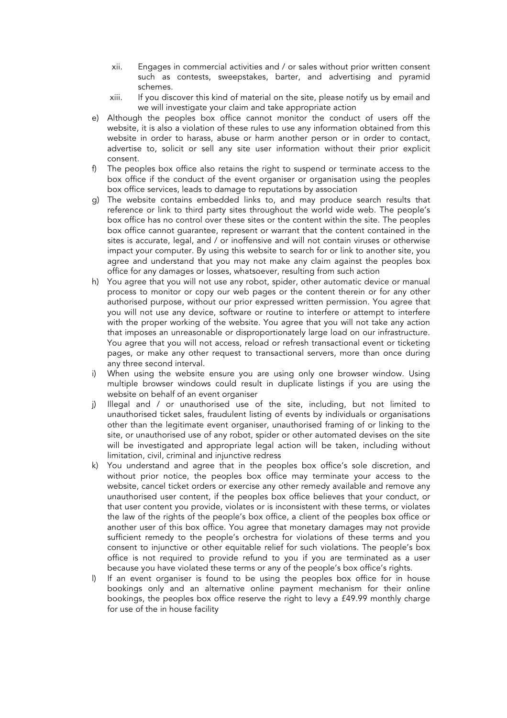- xii. Engages in commercial activities and / or sales without prior written consent such as contests, sweepstakes, barter, and advertising and pyramid schemes.
- xiii. If you discover this kind of material on the site, please notify us by email and we will investigate your claim and take appropriate action
- e) Although the peoples box office cannot monitor the conduct of users off the website, it is also a violation of these rules to use any information obtained from this website in order to harass, abuse or harm another person or in order to contact, advertise to, solicit or sell any site user information without their prior explicit consent.
- f) The peoples box office also retains the right to suspend or terminate access to the box office if the conduct of the event organiser or organisation using the peoples box office services, leads to damage to reputations by association
- g) The website contains embedded links to, and may produce search results that reference or link to third party sites throughout the world wide web. The people's box office has no control over these sites or the content within the site. The peoples box office cannot guarantee, represent or warrant that the content contained in the sites is accurate, legal, and / or inoffensive and will not contain viruses or otherwise impact your computer. By using this website to search for or link to another site, you agree and understand that you may not make any claim against the peoples box office for any damages or losses, whatsoever, resulting from such action
- h) You agree that you will not use any robot, spider, other automatic device or manual process to monitor or copy our web pages or the content therein or for any other authorised purpose, without our prior expressed written permission. You agree that you will not use any device, software or routine to interfere or attempt to interfere with the proper working of the website. You agree that you will not take any action that imposes an unreasonable or disproportionately large load on our infrastructure. You agree that you will not access, reload or refresh transactional event or ticketing pages, or make any other request to transactional servers, more than once during any three second interval.
- i) When using the website ensure you are using only one browser window. Using multiple browser windows could result in duplicate listings if you are using the website on behalf of an event organiser
- j) Illegal and / or unauthorised use of the site, including, but not limited to unauthorised ticket sales, fraudulent listing of events by individuals or organisations other than the legitimate event organiser, unauthorised framing of or linking to the site, or unauthorised use of any robot, spider or other automated devises on the site will be investigated and appropriate legal action will be taken, including without limitation, civil, criminal and injunctive redress
- k) You understand and agree that in the peoples box office's sole discretion, and without prior notice, the peoples box office may terminate your access to the website, cancel ticket orders or exercise any other remedy available and remove any unauthorised user content, if the peoples box office believes that your conduct, or that user content you provide, violates or is inconsistent with these terms, or violates the law of the rights of the people's box office, a client of the peoples box office or another user of this box office. You agree that monetary damages may not provide sufficient remedy to the people's orchestra for violations of these terms and you consent to injunctive or other equitable relief for such violations. The people's box office is not required to provide refund to you if you are terminated as a user because you have violated these terms or any of the people's box office's rights.
- l) If an event organiser is found to be using the peoples box office for in house bookings only and an alternative online payment mechanism for their online bookings, the peoples box office reserve the right to levy a £49.99 monthly charge for use of the in house facility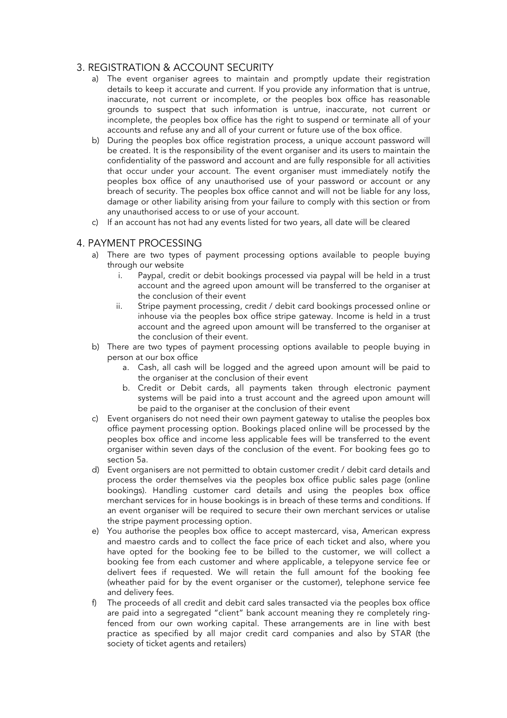# 3. REGISTRATION & ACCOUNT SECURITY

- a) The event organiser agrees to maintain and promptly update their registration details to keep it accurate and current. If you provide any information that is untrue, inaccurate, not current or incomplete, or the peoples box office has reasonable grounds to suspect that such information is untrue, inaccurate, not current or incomplete, the peoples box office has the right to suspend or terminate all of your accounts and refuse any and all of your current or future use of the box office.
- b) During the peoples box office registration process, a unique account password will be created. It is the responsibility of the event organiser and its users to maintain the confidentiality of the password and account and are fully responsible for all activities that occur under your account. The event organiser must immediately notify the peoples box office of any unauthorised use of your password or account or any breach of security. The peoples box office cannot and will not be liable for any loss, damage or other liability arising from your failure to comply with this section or from any unauthorised access to or use of your account.
- c) If an account has not had any events listed for two years, all date will be cleared

#### 4. PAYMENT PROCESSING

- a) There are two types of payment processing options available to people buying through our website
	- i. Paypal, credit or debit bookings processed via paypal will be held in a trust account and the agreed upon amount will be transferred to the organiser at the conclusion of their event
	- ii. Stripe payment processing, credit / debit card bookings processed online or inhouse via the peoples box office stripe gateway. Income is held in a trust account and the agreed upon amount will be transferred to the organiser at the conclusion of their event.
- b) There are two types of payment processing options available to people buying in person at our box office
	- a. Cash, all cash will be logged and the agreed upon amount will be paid to the organiser at the conclusion of their event
	- b. Credit or Debit cards, all payments taken through electronic payment systems will be paid into a trust account and the agreed upon amount will be paid to the organiser at the conclusion of their event
- c) Event organisers do not need their own payment gateway to utalise the peoples box office payment processing option. Bookings placed online will be processed by the peoples box office and income less applicable fees will be transferred to the event organiser within seven days of the conclusion of the event. For booking fees go to section 5a.
- d) Event organisers are not permitted to obtain customer credit / debit card details and process the order themselves via the peoples box office public sales page (online bookings). Handling customer card details and using the peoples box office merchant services for in house bookings is in breach of these terms and conditions. If an event organiser will be required to secure their own merchant services or utalise the stripe payment processing option.
- e) You authorise the peoples box office to accept mastercard, visa, American express and maestro cards and to collect the face price of each ticket and also, where you have opted for the booking fee to be billed to the customer, we will collect a booking fee from each customer and where applicable, a telepyone service fee or delivert fees if requested. We will retain the full amount fof the booking fee (wheather paid for by the event organiser or the customer), telephone service fee and delivery fees.
- f) The proceeds of all credit and debit card sales transacted via the peoples box office are paid into a segregated "client" bank account meaning they re completely ringfenced from our own working capital. These arrangements are in line with best practice as specified by all major credit card companies and also by STAR (the society of ticket agents and retailers)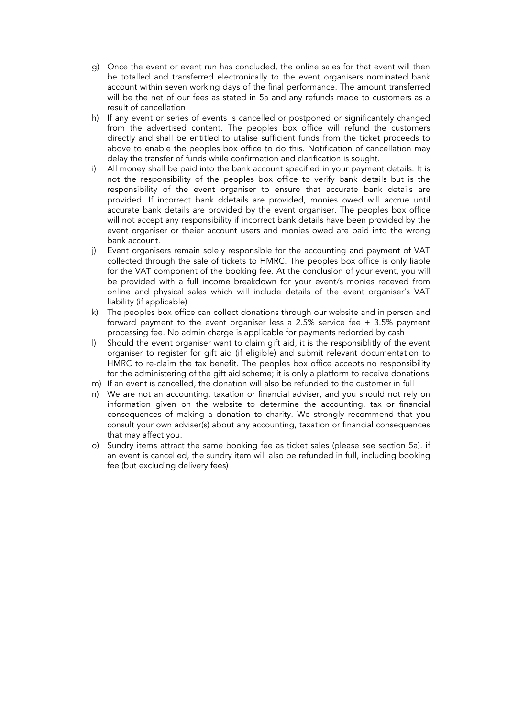- g) Once the event or event run has concluded, the online sales for that event will then be totalled and transferred electronically to the event organisers nominated bank account within seven working days of the final performance. The amount transferred will be the net of our fees as stated in 5a and any refunds made to customers as a result of cancellation
- h) If any event or series of events is cancelled or postponed or significantely changed from the advertised content. The peoples box office will refund the customers directly and shall be entitled to utalise sufficient funds from the ticket proceeds to above to enable the peoples box office to do this. Notification of cancellation may delay the transfer of funds while confirmation and clarification is sought.
- i) All money shall be paid into the bank account specified in your payment details. It is not the responsibility of the peoples box office to verify bank details but is the responsibility of the event organiser to ensure that accurate bank details are provided. If incorrect bank ddetails are provided, monies owed will accrue until accurate bank details are provided by the event organiser. The peoples box office will not accept any responsibility if incorrect bank details have been provided by the event organiser or theier account users and monies owed are paid into the wrong bank account.
- j) Event organisers remain solely responsible for the accounting and payment of VAT collected through the sale of tickets to HMRC. The peoples box office is only liable for the VAT component of the booking fee. At the conclusion of your event, you will be provided with a full income breakdown for your event/s monies receved from online and physical sales which will include details of the event organiser's VAT liability (if applicable)
- k) The peoples box office can collect donations through our website and in person and forward payment to the event organiser less a 2.5% service fee + 3.5% payment processing fee. No admin charge is applicable for payments redorded by cash
- l) Should the event organiser want to claim gift aid, it is the responsiblitly of the event organiser to register for gift aid (if eligible) and submit relevant documentation to HMRC to re-claim the tax benefit. The peoples box office accepts no responsibility for the administering of the gift aid scheme; it is only a platform to receive donations
- m) If an event is cancelled, the donation will also be refunded to the customer in full
- n) We are not an accounting, taxation or financial adviser, and you should not rely on information given on the website to determine the accounting, tax or financial consequences of making a donation to charity. We strongly recommend that you consult your own adviser(s) about any accounting, taxation or financial consequences that may affect you.
- o) Sundry items attract the same booking fee as ticket sales (please see section 5a). if an event is cancelled, the sundry item will also be refunded in full, including booking fee (but excluding delivery fees)